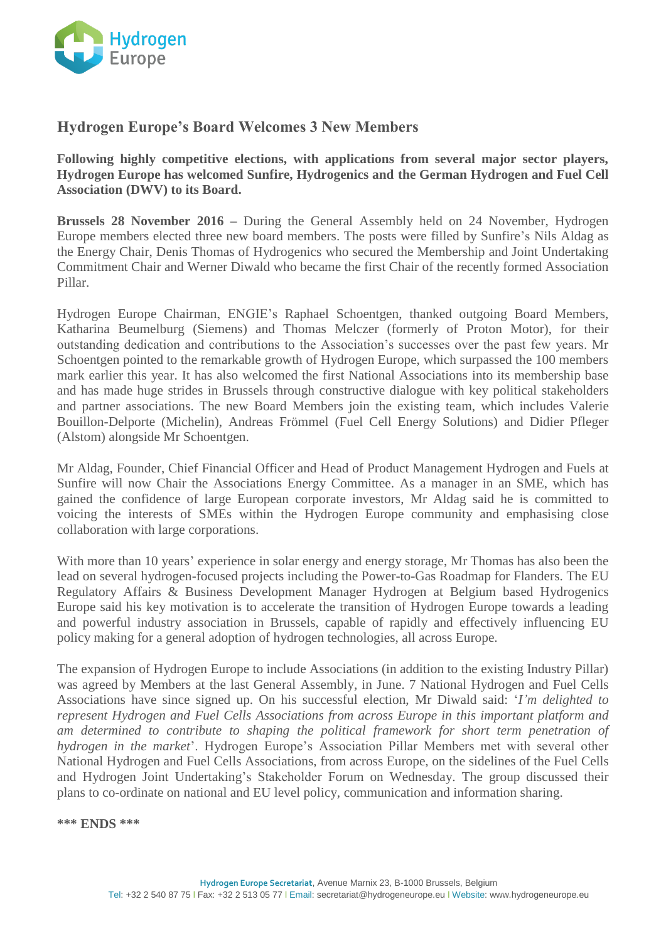

## **Hydrogen Europe's Board Welcomes 3 New Members**

**Following highly competitive elections, with applications from several major sector players, Hydrogen Europe has welcomed Sunfire, Hydrogenics and the German Hydrogen and Fuel Cell Association (DWV) to its Board.**

**Brussels 28 November 2016 –** During the General Assembly held on 24 November, Hydrogen Europe members elected three new board members. The posts were filled by Sunfire's Nils Aldag as the Energy Chair, Denis Thomas of Hydrogenics who secured the Membership and Joint Undertaking Commitment Chair and Werner Diwald who became the first Chair of the recently formed Association Pillar.

Hydrogen Europe Chairman, ENGIE's Raphael Schoentgen, thanked outgoing Board Members, Katharina Beumelburg (Siemens) and Thomas Melczer (formerly of Proton Motor), for their outstanding dedication and contributions to the Association's successes over the past few years. Mr Schoentgen pointed to the remarkable growth of Hydrogen Europe, which surpassed the 100 members mark earlier this year. It has also welcomed the first National Associations into its membership base and has made huge strides in Brussels through constructive dialogue with key political stakeholders and partner associations. The new Board Members join the existing team, which includes Valerie Bouillon-Delporte (Michelin), Andreas Frömmel (Fuel Cell Energy Solutions) and Didier Pfleger (Alstom) alongside Mr Schoentgen.

Mr Aldag, Founder, Chief Financial Officer and Head of Product Management Hydrogen and Fuels at Sunfire will now Chair the Associations Energy Committee. As a manager in an SME, which has gained the confidence of large European corporate investors, Mr Aldag said he is committed to voicing the interests of SMEs within the Hydrogen Europe community and emphasising close collaboration with large corporations.

With more than 10 years' experience in solar energy and energy storage, Mr Thomas has also been the lead on several hydrogen-focused projects including the Power-to-Gas Roadmap for Flanders. The EU Regulatory Affairs & Business Development Manager Hydrogen at Belgium based Hydrogenics Europe said his key motivation is to accelerate the transition of Hydrogen Europe towards a leading and powerful industry association in Brussels, capable of rapidly and effectively influencing EU policy making for a general adoption of hydrogen technologies, all across Europe.

The expansion of Hydrogen Europe to include Associations (in addition to the existing Industry Pillar) was agreed by Members at the last General Assembly, in June. 7 National Hydrogen and Fuel Cells Associations have since signed up. On his successful election, Mr Diwald said: '*I'm delighted to represent Hydrogen and Fuel Cells Associations from across Europe in this important platform and am determined to contribute to shaping the political framework for short term penetration of hydrogen in the market*'. Hydrogen Europe's Association Pillar Members met with several other National Hydrogen and Fuel Cells Associations, from across Europe, on the sidelines of the Fuel Cells and Hydrogen Joint Undertaking's Stakeholder Forum on Wednesday. The group discussed their plans to co-ordinate on national and EU level policy, communication and information sharing.

**\*\*\* ENDS \*\*\***